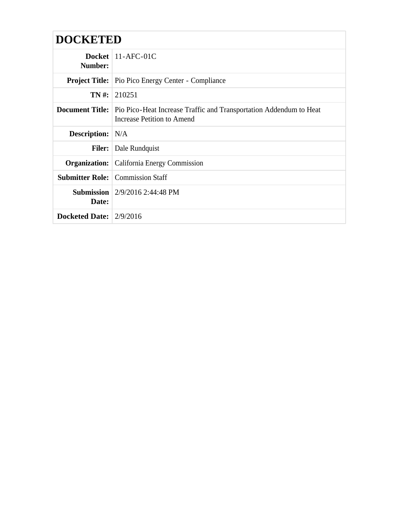| <b>DOCKETED</b>           |                                                                                                                                |
|---------------------------|--------------------------------------------------------------------------------------------------------------------------------|
| Number:                   | Docket $11-AFC-01C$                                                                                                            |
|                           | <b>Project Title:</b> Pio Pico Energy Center - Compliance                                                                      |
|                           | $TN \#: 210251$                                                                                                                |
|                           | <b>Document Title:</b> Pio Pico-Heat Increase Traffic and Transportation Addendum to Heat<br><b>Increase Petition to Amend</b> |
| <b>Description:</b> N/A   |                                                                                                                                |
|                           | <b>Filer:</b> Dale Rundquist                                                                                                   |
|                           | <b>Organization:</b> California Energy Commission                                                                              |
|                           | <b>Submitter Role:</b> Commission Staff                                                                                        |
| Date:                     | <b>Submission</b> $\left  \frac{2}{9/2016} \right.$ 2:44:48 PM                                                                 |
| Docketed Date: $2/9/2016$ |                                                                                                                                |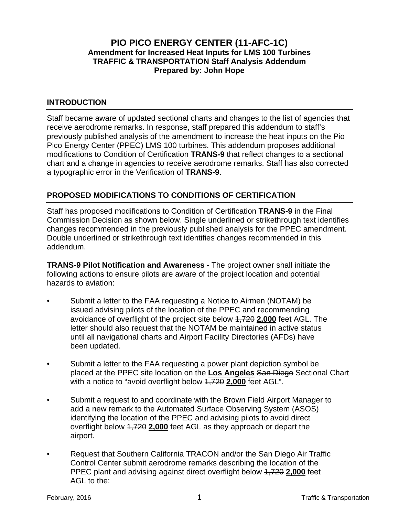## **PIO PICO ENERGY CENTER (11-AFC-1C) Amendment for Increased Heat Inputs for LMS 100 Turbines TRAFFIC & TRANSPORTATION Staff Analysis Addendum Prepared by: John Hope**

## **INTRODUCTION**

Staff became aware of updated sectional charts and changes to the list of agencies that receive aerodrome remarks. In response, staff prepared this addendum to staff's previously published analysis of the amendment to increase the heat inputs on the Pio Pico Energy Center (PPEC) LMS 100 turbines. This addendum proposes additional modifications to Condition of Certification **TRANS-9** that reflect changes to a sectional chart and a change in agencies to receive aerodrome remarks. Staff has also corrected a typographic error in the Verification of **TRANS-9**.

## **PROPOSED MODIFICATIONS TO CONDITIONS OF CERTIFICATION**

Staff has proposed modifications to Condition of Certification **TRANS-9** in the Final Commission Decision as shown below. Single underlined or strikethrough text identifies changes recommended in the previously published analysis for the PPEC amendment. Double underlined or strikethrough text identifies changes recommended in this addendum.

**TRANS-9 Pilot Notification and Awareness -** The project owner shall initiate the following actions to ensure pilots are aware of the project location and potential hazards to aviation:

- Submit a letter to the FAA requesting a Notice to Airmen (NOTAM) be issued advising pilots of the location of the PPEC and recommending avoidance of overflight of the project site below 1,720 **2,000** feet AGL. The letter should also request that the NOTAM be maintained in active status until all navigational charts and Airport Facility Directories (AFDs) have been updated.
- Submit a letter to the FAA requesting a power plant depiction symbol be placed at the PPEC site location on the **Los Angeles** San Diego Sectional Chart with a notice to "avoid overflight below 1,720 **2,000** feet AGL".
- Submit a request to and coordinate with the Brown Field Airport Manager to add a new remark to the Automated Surface Observing System (ASOS) identifying the location of the PPEC and advising pilots to avoid direct overflight below 1,720 **2,000** feet AGL as they approach or depart the airport.
- Request that Southern California TRACON and/or the San Diego Air Traffic Control Center submit aerodrome remarks describing the location of the PPEC plant and advising against direct overflight below 1,720 **2,000** feet AGL to the: